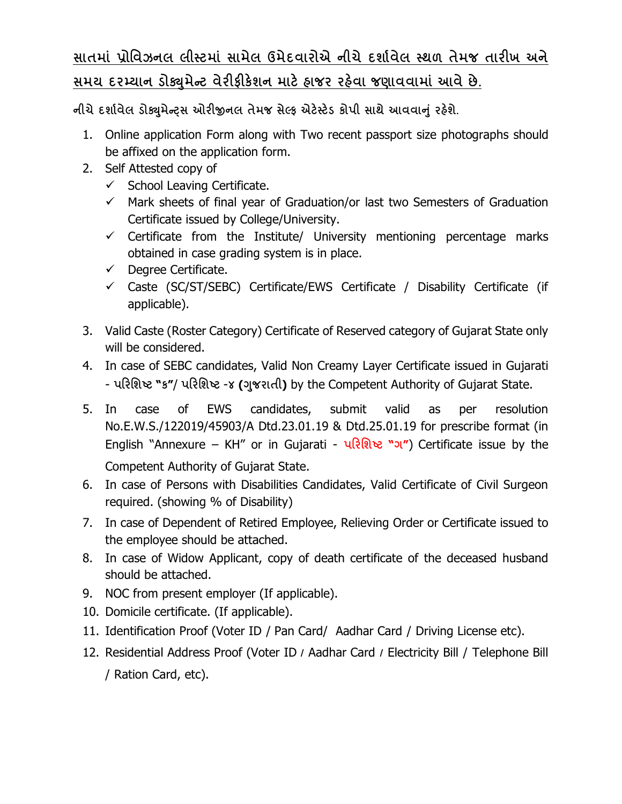## **સાતમાં ̆ોિવઝનલ લીƨટમાં સામેલ ઉમેદવારોએ નીચે દશા½વેલ ƨથળ તેમજ તારખ અને**  <u>સમય દરમ્યાન ડોક્યુમેન્ટ વેરીફીકેશન માટે હાજર રહેવા જણાવવામાં આવે છે.</u>

**નીચેદશા½વેલ ડોɉુમેƛͫસ ઓરĥનલ તેમજ સેƣફ એટ°ƨટ°ડ કોપી સાથે આવવાȵું રહ°શે.**

- 1. Online application Form along with Two recent passport size photographs should be affixed on the application form.
- 2. Self Attested copy of
	- $\checkmark$  School Leaving Certificate.
	- $\checkmark$  Mark sheets of final year of Graduation/or last two Semesters of Graduation Certificate issued by College/University.
	- $\checkmark$  Certificate from the Institute/ University mentioning percentage marks obtained in case grading system is in place.
	- $\checkmark$  Degree Certificate.
	- $\checkmark$  Caste (SC/ST/SEBC) Certificate/EWS Certificate / Disability Certificate (if applicable).
- 3. Valid Caste (Roster Category) Certificate of Reserved category of Gujarat State only will be considered.
- 4. In case of SEBC candidates, Valid Non Creamy Layer Certificate issued in Gujarati - **પરિશƧટ "ક"**/ **પરિશƧટ** -**૪ (Ȥુજરાતી)** by the Competent Authority of Gujarat State.
- 5. In case of EWS candidates, submit valid as per resolution No.E.W.S./122019/45903/A Dtd.23.01.19 & Dtd.25.01.19 for prescribe format (in English "Annexure – KH" or in Gujarati - **પરિશƧટ "ગ"**) Certificate issue by the Competent Authority of Gujarat State.
- 6. In case of Persons with Disabilities Candidates, Valid Certificate of Civil Surgeon required. (showing % of Disability)
- 7. In case of Dependent of Retired Employee, Relieving Order or Certificate issued to the employee should be attached.
- 8. In case of Widow Applicant, copy of death certificate of the deceased husband should be attached.
- 9. NOC from present employer (If applicable).
- 10. Domicile certificate. (If applicable).
- 11. Identification Proof (Voter ID / Pan Card/ Aadhar Card / Driving License etc).
- 12. Residential Address Proof (Voter ID **/** Aadhar Card **/** Electricity Bill / Telephone Bill / Ration Card, etc).